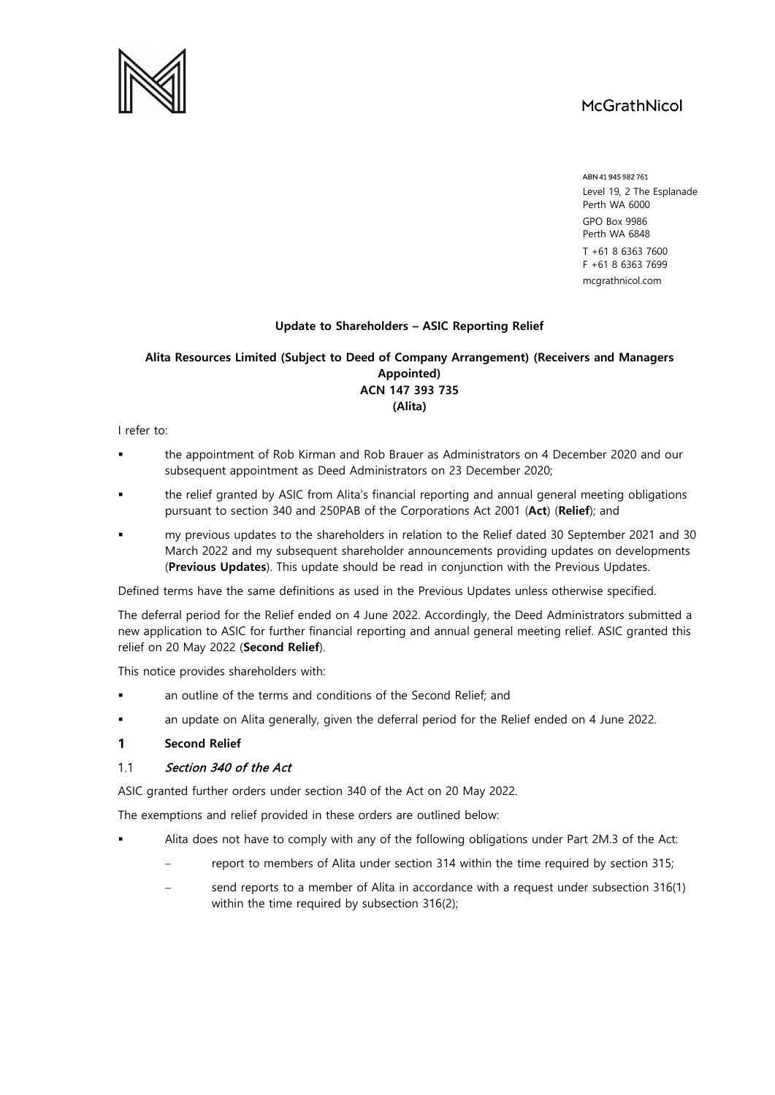# McGrathNicol



### **Update to Shareholders – ASIC Reporting Relief**

## **Alita Resources Limited (Subject to Deed of Company Arrangement) (Receivers and Managers Appointed) ACN 147 393 735**

**(Alita)**

I refer to:

- the appointment of Rob Kirman and Rob Brauer as Administrators on 4 December 2020 and our subsequent appointment as Deed Administrators on 23 December 2020;
- the relief granted by ASIC from Alita's financial reporting and annual general meeting obligations pursuant to section 340 and 250PAB of the Corporations Act 2001 (**Act**) (**Relief**); and
- my previous updates to the shareholders in relation to the Relief dated 30 September 2021 and 30 March 2022 and my subsequent shareholder announcements providing updates on developments (**Previous Updates**). This update should be read in conjunction with the Previous Updates.

Defined terms have the same definitions as used in the Previous Updates unless otherwise specified.

The deferral period for the Relief ended on 4 June 2022. Accordingly, the Deed Administrators submitted a new application to ASIC for further financial reporting and annual general meeting relief. ASIC granted this relief on 20 May 2022 (**Second Relief**).

This notice provides shareholders with:

- an outline of the terms and conditions of the Second Relief; and
- an update on Alita generally, given the deferral period for the Relief ended on 4 June 2022.
- $\mathbf{1}$ **Second Relief**

#### $1.1$ Section 340 of the Act

ASIC granted further orders under section 340 of the Act on 20 May 2022.

The exemptions and relief provided in these orders are outlined below:

- Alita does not have to comply with any of the following obligations under Part 2M.3 of the Act:
	- report to members of Alita under section 314 within the time required by section 315;
	- send reports to a member of Alita in accordance with a request under subsection 316(1) within the time required by subsection 316(2);

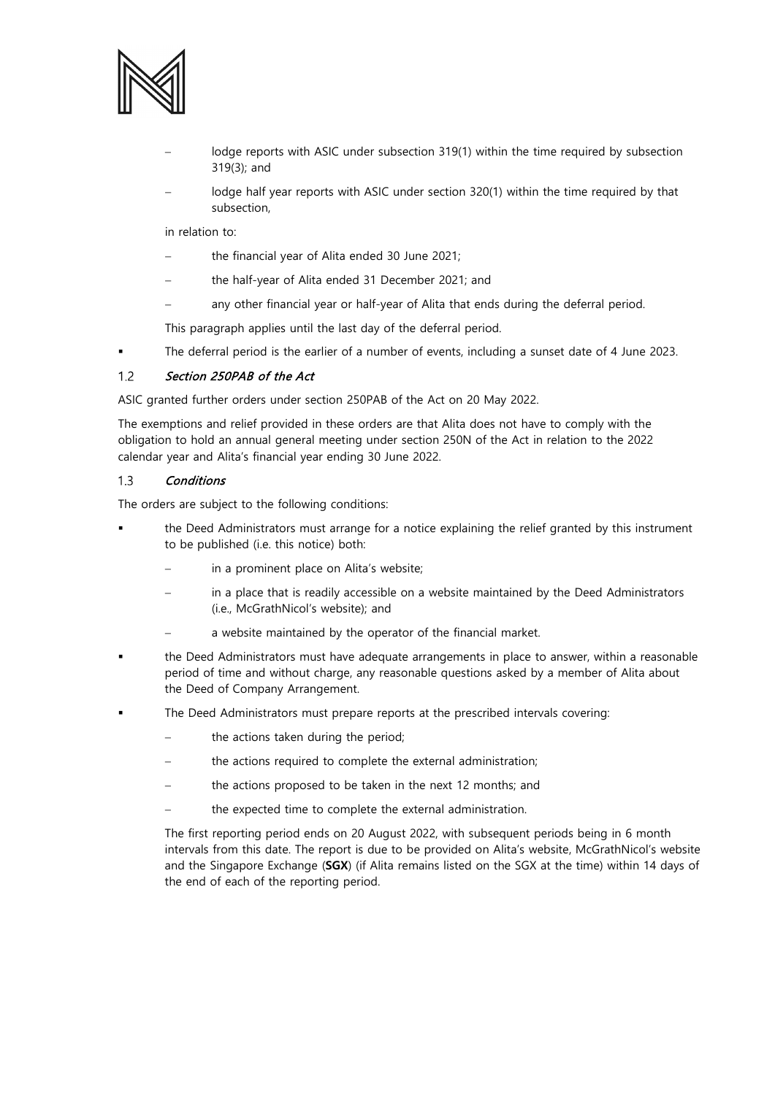

- lodge reports with ASIC under subsection 319(1) within the time required by subsection 319(3); and
- lodge half year reports with ASIC under section 320(1) within the time required by that subsection,

in relation to:

- the financial year of Alita ended 30 June 2021;
- − the half-year of Alita ended 31 December 2021; and
- any other financial year or half-year of Alita that ends during the deferral period.

This paragraph applies until the last day of the deferral period.

The deferral period is the earlier of a number of events, including a sunset date of 4 June 2023.

#### $1.2$ Section 250PAB of the Act

ASIC granted further orders under section 250PAB of the Act on 20 May 2022.

The exemptions and relief provided in these orders are that Alita does not have to comply with the obligation to hold an annual general meeting under section 250N of the Act in relation to the 2022 calendar year and Alita's financial year ending 30 June 2022.

#### $1.3$ **Conditions**

The orders are subject to the following conditions:

- the Deed Administrators must arrange for a notice explaining the relief granted by this instrument to be published (i.e. this notice) both:
	- in a prominent place on Alita's website;
	- in a place that is readily accessible on a website maintained by the Deed Administrators (i.e., McGrathNicol's website); and
	- a website maintained by the operator of the financial market.
- the Deed Administrators must have adequate arrangements in place to answer, within a reasonable period of time and without charge, any reasonable questions asked by a member of Alita about the Deed of Company Arrangement.
- The Deed Administrators must prepare reports at the prescribed intervals covering:
	- the actions taken during the period;
	- the actions required to complete the external administration;
	- the actions proposed to be taken in the next 12 months; and
	- the expected time to complete the external administration.

The first reporting period ends on 20 August 2022, with subsequent periods being in 6 month intervals from this date. The report is due to be provided on Alita's website, McGrathNicol's website and the Singapore Exchange (**SGX**) (if Alita remains listed on the SGX at the time) within 14 days of the end of each of the reporting period.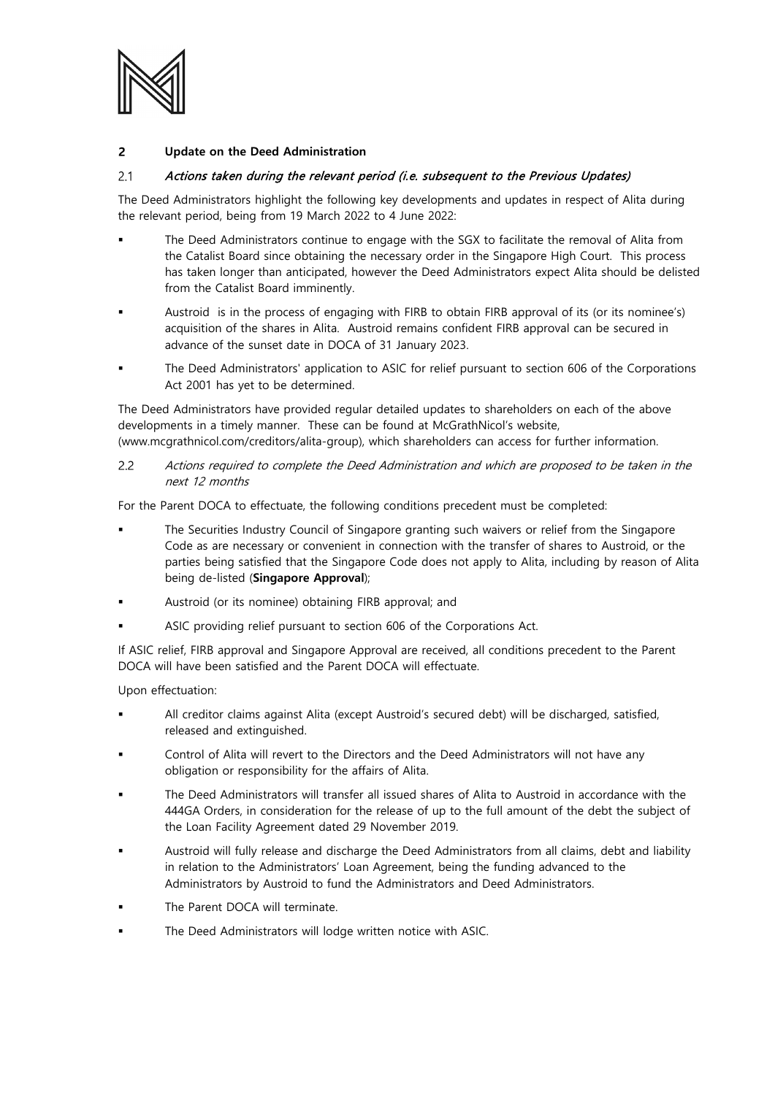

#### $\overline{2}$ **Update on the Deed Administration**

#### $2.1$ Actions taken during the relevant period (i.e. subsequent to the Previous Updates)

The Deed Administrators highlight the following key developments and updates in respect of Alita during the relevant period, being from 19 March 2022 to 4 June 2022:

- The Deed Administrators continue to engage with the SGX to facilitate the removal of Alita from the Catalist Board since obtaining the necessary order in the Singapore High Court. This process has taken longer than anticipated, however the Deed Administrators expect Alita should be delisted from the Catalist Board imminently.
- Austroid is in the process of engaging with FIRB to obtain FIRB approval of its (or its nominee's) acquisition of the shares in Alita. Austroid remains confident FIRB approval can be secured in advance of the sunset date in DOCA of 31 January 2023.
- The Deed Administrators' application to ASIC for relief pursuant to section 606 of the Corporations Act 2001 has yet to be determined.

The Deed Administrators have provided regular detailed updates to shareholders on each of the above developments in a timely manner. These can be found at McGrathNicol's website, (www.mcgrathnicol.com/creditors/alita-group), which shareholders can access for further information.

 $2.2$ Actions required to complete the Deed Administration and which are proposed to be taken in the next 12 months

For the Parent DOCA to effectuate, the following conditions precedent must be completed:

- The Securities Industry Council of Singapore granting such waivers or relief from the Singapore Code as are necessary or convenient in connection with the transfer of shares to Austroid, or the parties being satisfied that the Singapore Code does not apply to Alita, including by reason of Alita being de-listed (**Singapore Approval**);
- Austroid (or its nominee) obtaining FIRB approval; and
- ASIC providing relief pursuant to section 606 of the Corporations Act.

If ASIC relief, FIRB approval and Singapore Approval are received, all conditions precedent to the Parent DOCA will have been satisfied and the Parent DOCA will effectuate.

Upon effectuation:

- All creditor claims against Alita (except Austroid's secured debt) will be discharged, satisfied, released and extinguished.
- Control of Alita will revert to the Directors and the Deed Administrators will not have any obligation or responsibility for the affairs of Alita.
- The Deed Administrators will transfer all issued shares of Alita to Austroid in accordance with the 444GA Orders, in consideration for the release of up to the full amount of the debt the subject of the Loan Facility Agreement dated 29 November 2019.
- Austroid will fully release and discharge the Deed Administrators from all claims, debt and liability in relation to the Administrators' Loan Agreement, being the funding advanced to the Administrators by Austroid to fund the Administrators and Deed Administrators.
- The Parent DOCA will terminate.
- The Deed Administrators will lodge written notice with ASIC.